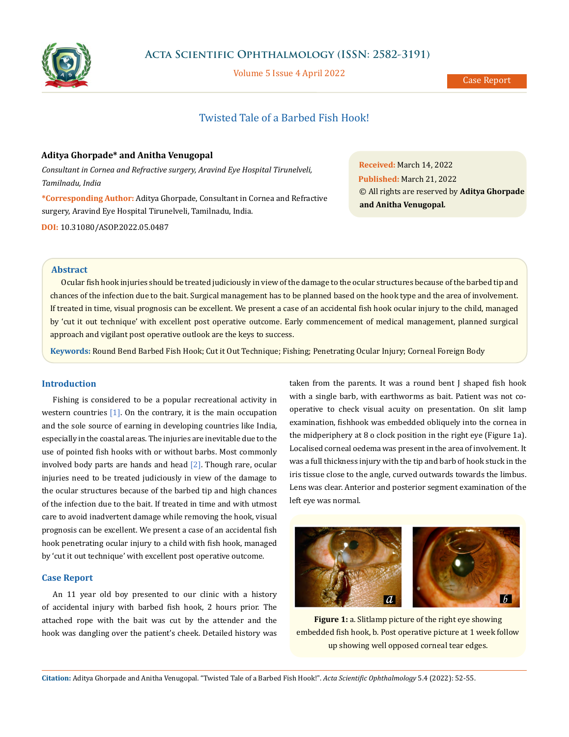

Volume 5 Issue 4 April 2022

# Twisted Tale of a Barbed Fish Hook!

# **Aditya Ghorpade\* and Anitha Venugopal**

*Consultant in Cornea and Refractive surgery, Aravind Eye Hospital Tirunelveli, Tamilnadu, India*

**\*Corresponding Author:** Aditya Ghorpade, Consultant in Cornea and Refractive surgery, Aravind Eye Hospital Tirunelveli, Tamilnadu, India. **DOI:** [10.31080/ASOP.2022.05.0487](http://actascientific.com/ASOP/pdf/ASOP-05-0487.pdf)

**Received:** March 14, 2022 **Published:** March 21, 2022 © All rights are reserved by **Aditya Ghorpade and Anitha Venugopal***.*

## **Abstract**

Ocular fish hook injuries should be treated judiciously in view of the damage to the ocular structures because of the barbed tip and chances of the infection due to the bait. Surgical management has to be planned based on the hook type and the area of involvement. If treated in time, visual prognosis can be excellent. We present a case of an accidental fish hook ocular injury to the child, managed by 'cut it out technique' with excellent post operative outcome. Early commencement of medical management, planned surgical approach and vigilant post operative outlook are the keys to success.

**Keywords:** Round Bend Barbed Fish Hook; Cut it Out Technique; Fishing; Penetrating Ocular Injury; Corneal Foreign Body

## **Introduction**

Fishing is considered to be a popular recreational activity in western countries [1]. On the contrary, it is the main occupation and the sole source of earning in developing countries like India, especially in the coastal areas. The injuries are inevitable due to the use of pointed fish hooks with or without barbs. Most commonly involved body parts are hands and head  $[2]$ . Though rare, ocular injuries need to be treated judiciously in view of the damage to the ocular structures because of the barbed tip and high chances of the infection due to the bait. If treated in time and with utmost care to avoid inadvertent damage while removing the hook, visual prognosis can be excellent. We present a case of an accidental fish hook penetrating ocular injury to a child with fish hook, managed by 'cut it out technique' with excellent post operative outcome.

## **Case Report**

An 11 year old boy presented to our clinic with a history of accidental injury with barbed fish hook, 2 hours prior. The attached rope with the bait was cut by the attender and the hook was dangling over the patient's cheek. Detailed history was taken from the parents. It was a round bent J shaped fish hook with a single barb, with earthworms as bait. Patient was not cooperative to check visual acuity on presentation. On slit lamp examination, fishhook was embedded obliquely into the cornea in the midperiphery at 8 o clock position in the right eye (Figure 1a). Localised corneal oedema was present in the area of involvement. It was a full thickness injury with the tip and barb of hook stuck in the iris tissue close to the angle, curved outwards towards the limbus. Lens was clear. Anterior and posterior segment examination of the left eye was normal.



**Figure 1:** a. Slitlamp picture of the right eye showing embedded fish hook, b. Post operative picture at 1 week follow up showing well opposed corneal tear edges.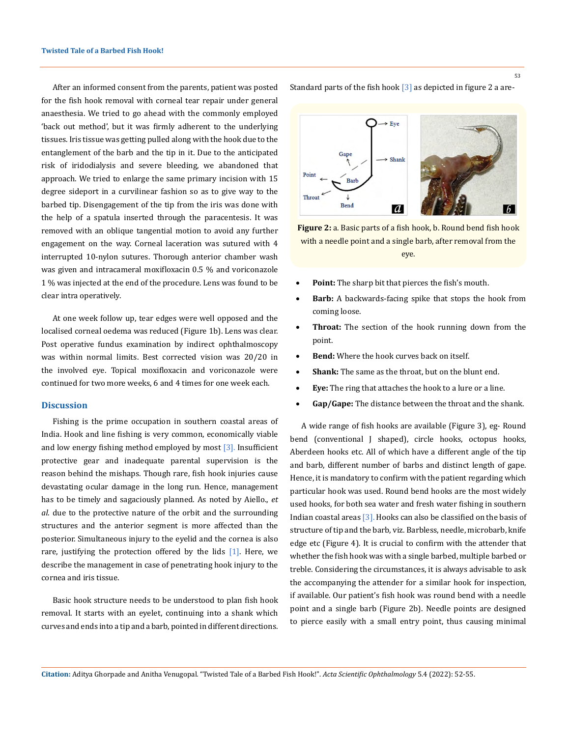After an informed consent from the parents, patient was posted for the fish hook removal with corneal tear repair under general anaesthesia. We tried to go ahead with the commonly employed 'back out method', but it was firmly adherent to the underlying tissues. Iris tissue was getting pulled along with the hook due to the entanglement of the barb and the tip in it. Due to the anticipated risk of iridodialysis and severe bleeding, we abandoned that approach. We tried to enlarge the same primary incision with 15 degree sideport in a curvilinear fashion so as to give way to the barbed tip. Disengagement of the tip from the iris was done with the help of a spatula inserted through the paracentesis. It was removed with an oblique tangential motion to avoid any further engagement on the way. Corneal laceration was sutured with 4 interrupted 10-nylon sutures. Thorough anterior chamber wash was given and intracameral moxifloxacin 0.5 % and voriconazole 1 % was injected at the end of the procedure. Lens was found to be clear intra operatively.

At one week follow up, tear edges were well opposed and the localised corneal oedema was reduced (Figure 1b). Lens was clear. Post operative fundus examination by indirect ophthalmoscopy was within normal limits. Best corrected vision was 20/20 in the involved eye. Topical moxifloxacin and voriconazole were continued for two more weeks, 6 and 4 times for one week each.

#### **Discussion**

Fishing is the prime occupation in southern coastal areas of India. Hook and line fishing is very common, economically viable and low energy fishing method employed by most [3]. Insufficient protective gear and inadequate parental supervision is the reason behind the mishaps. Though rare, fish hook injuries cause devastating ocular damage in the long run. Hence, management has to be timely and sagaciously planned. As noted by Aiello., *et al*. due to the protective nature of the orbit and the surrounding structures and the anterior segment is more affected than the posterior. Simultaneous injury to the eyelid and the cornea is also rare, justifying the protection offered by the lids [1]. Here, we describe the management in case of penetrating hook injury to the cornea and iris tissue.

Basic hook structure needs to be understood to plan fish hook removal. It starts with an eyelet, continuing into a shank which curves and ends into a tip and a barb, pointed in different directions. Standard parts of the fish hook  $\lceil 3 \rceil$  as depicted in figure 2 a are-



**Figure 2:** a. Basic parts of a fish hook, b. Round bend fish hook with a needle point and a single barb, after removal from the eye.

- Point: The sharp bit that pierces the fish's mouth.
- **Barb:** A backwards-facing spike that stops the hook from coming loose.
- Throat: The section of the hook running down from the point.
- **Bend:** Where the hook curves back on itself.
- **Shank:** The same as the throat, but on the blunt end.
- **Eye:** The ring that attaches the hook to a lure or a line.
- Gap/Gape: The distance between the throat and the shank.

A wide range of fish hooks are available (Figure 3), eg- Round bend (conventional J shaped), circle hooks, octopus hooks, Aberdeen hooks etc. All of which have a different angle of the tip and barb, different number of barbs and distinct length of gape. Hence, it is mandatory to confirm with the patient regarding which particular hook was used. Round bend hooks are the most widely used hooks, for both sea water and fresh water fishing in southern Indian coastal areas [3]. Hooks can also be classified on the basis of structure of tip and the barb, viz. Barbless, needle, microbarb, knife edge etc (Figure 4). It is crucial to confirm with the attender that whether the fish hook was with a single barbed, multiple barbed or treble. Considering the circumstances, it is always advisable to ask the accompanying the attender for a similar hook for inspection, if available. Our patient's fish hook was round bend with a needle point and a single barb (Figure 2b). Needle points are designed to pierce easily with a small entry point, thus causing minimal

**Citation:** Aditya Ghorpade and Anitha Venugopal*.* "Twisted Tale of a Barbed Fish Hook!". *Acta Scientific Ophthalmology* 5.4 (2022): 52-55.

53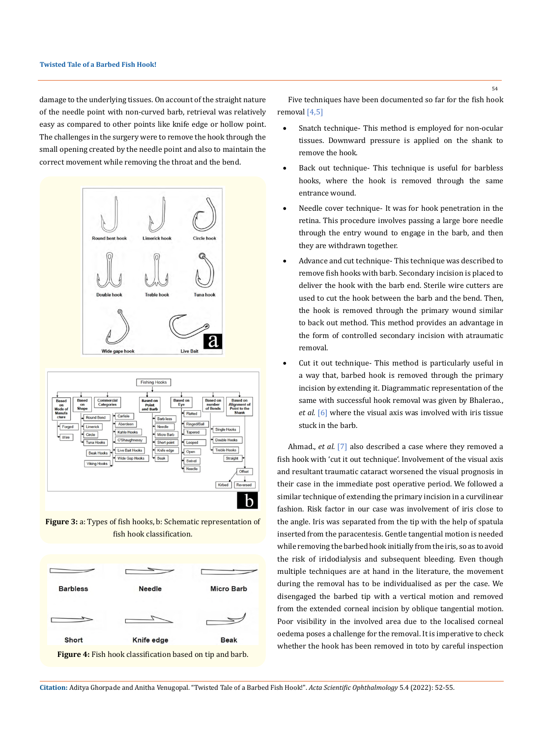damage to the underlying tissues. On account of the straight nature of the needle point with non-curved barb, retrieval was relatively easy as compared to other points like knife edge or hollow point. The challenges in the surgery were to remove the hook through the small opening created by the needle point and also to maintain the correct movement while removing the throat and the bend.





**Figure 3:** a: Types of fish hooks, b: Schematic representation of fish hook classification.



Five techniques have been documented so far for the fish hook removal [4,5]

- Snatch technique- This method is employed for non-ocular tissues. Downward pressure is applied on the shank to remove the hook.
- Back out technique- This technique is useful for barbless hooks, where the hook is removed through the same entrance wound.
- Needle cover technique- It was for hook penetration in the retina. This procedure involves passing a large bore needle through the entry wound to engage in the barb, and then they are withdrawn together.
- Advance and cut technique- This technique was described to remove fish hooks with barb. Secondary incision is placed to deliver the hook with the barb end. Sterile wire cutters are used to cut the hook between the barb and the bend. Then, the hook is removed through the primary wound similar to back out method. This method provides an advantage in the form of controlled secondary incision with atraumatic removal.
- Cut it out technique- This method is particularly useful in a way that, barbed hook is removed through the primary incision by extending it. Diagrammatic representation of the same with successful hook removal was given by Bhalerao., *et al.* [6] where the visual axis was involved with iris tissue stuck in the barb.

Ahmad., *et al.* [7] also described a case where they removed a fish hook with 'cut it out technique'. Involvement of the visual axis and resultant traumatic cataract worsened the visual prognosis in their case in the immediate post operative period. We followed a similar technique of extending the primary incision in a curvilinear fashion. Risk factor in our case was involvement of iris close to the angle. Iris was separated from the tip with the help of spatula inserted from the paracentesis. Gentle tangential motion is needed while removing the barbed hook initially from the iris, so as to avoid the risk of iridodialysis and subsequent bleeding. Even though multiple techniques are at hand in the literature, the movement during the removal has to be individualised as per the case. We disengaged the barbed tip with a vertical motion and removed from the extended corneal incision by oblique tangential motion. Poor visibility in the involved area due to the localised corneal oedema poses a challenge for the removal. It is imperative to check whether the hook has been removed in toto by careful inspection

**Citation:** Aditya Ghorpade and Anitha Venugopal*.* "Twisted Tale of a Barbed Fish Hook!". *Acta Scientific Ophthalmology* 5.4 (2022): 52-55.

54